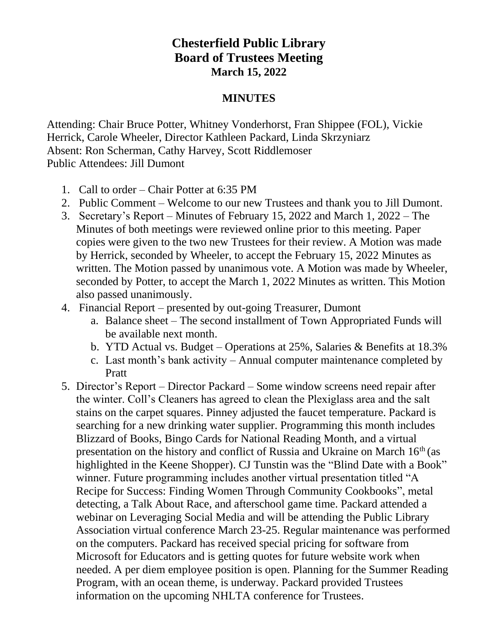## **Chesterfield Public Library Board of Trustees Meeting March 15, 2022**

## **MINUTES**

Attending: Chair Bruce Potter, Whitney Vonderhorst, Fran Shippee (FOL), Vickie Herrick, Carole Wheeler, Director Kathleen Packard, Linda Skrzyniarz Absent: Ron Scherman, Cathy Harvey, Scott Riddlemoser Public Attendees: Jill Dumont

- 1. Call to order Chair Potter at 6:35 PM
- 2. Public Comment Welcome to our new Trustees and thank you to Jill Dumont.
- 3. Secretary's Report Minutes of February 15, 2022 and March 1, 2022 The Minutes of both meetings were reviewed online prior to this meeting. Paper copies were given to the two new Trustees for their review. A Motion was made by Herrick, seconded by Wheeler, to accept the February 15, 2022 Minutes as written. The Motion passed by unanimous vote. A Motion was made by Wheeler, seconded by Potter, to accept the March 1, 2022 Minutes as written. This Motion also passed unanimously.
- 4. Financial Report presented by out-going Treasurer, Dumont
	- a. Balance sheet The second installment of Town Appropriated Funds will be available next month.
	- b. YTD Actual vs. Budget Operations at 25%, Salaries & Benefits at 18.3%
	- c. Last month's bank activity Annual computer maintenance completed by Pratt
- 5. Director's Report Director Packard Some window screens need repair after the winter. Coll's Cleaners has agreed to clean the Plexiglass area and the salt stains on the carpet squares. Pinney adjusted the faucet temperature. Packard is searching for a new drinking water supplier. Programming this month includes Blizzard of Books, Bingo Cards for National Reading Month, and a virtual presentation on the history and conflict of Russia and Ukraine on March 16<sup>th</sup> (as highlighted in the Keene Shopper). CJ Tunstin was the "Blind Date with a Book" winner. Future programming includes another virtual presentation titled "A Recipe for Success: Finding Women Through Community Cookbooks", metal detecting, a Talk About Race, and afterschool game time. Packard attended a webinar on Leveraging Social Media and will be attending the Public Library Association virtual conference March 23-25. Regular maintenance was performed on the computers. Packard has received special pricing for software from Microsoft for Educators and is getting quotes for future website work when needed. A per diem employee position is open. Planning for the Summer Reading Program, with an ocean theme, is underway. Packard provided Trustees information on the upcoming NHLTA conference for Trustees.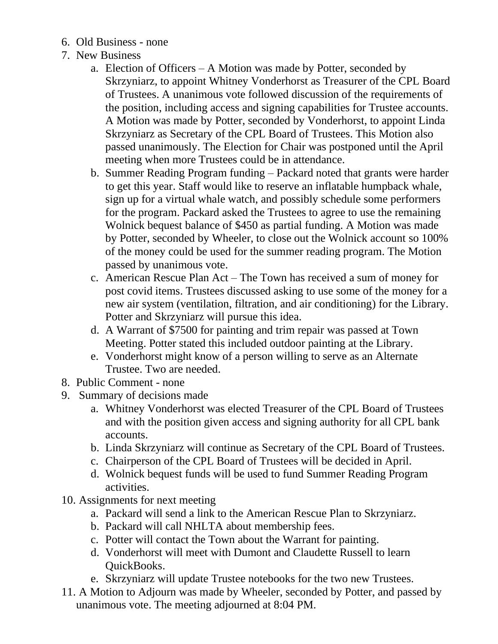- 6. Old Business none
- 7. New Business
	- a. Election of Officers A Motion was made by Potter, seconded by Skrzyniarz, to appoint Whitney Vonderhorst as Treasurer of the CPL Board of Trustees. A unanimous vote followed discussion of the requirements of the position, including access and signing capabilities for Trustee accounts. A Motion was made by Potter, seconded by Vonderhorst, to appoint Linda Skrzyniarz as Secretary of the CPL Board of Trustees. This Motion also passed unanimously. The Election for Chair was postponed until the April meeting when more Trustees could be in attendance.
	- b. Summer Reading Program funding Packard noted that grants were harder to get this year. Staff would like to reserve an inflatable humpback whale, sign up for a virtual whale watch, and possibly schedule some performers for the program. Packard asked the Trustees to agree to use the remaining Wolnick bequest balance of \$450 as partial funding. A Motion was made by Potter, seconded by Wheeler, to close out the Wolnick account so 100% of the money could be used for the summer reading program. The Motion passed by unanimous vote.
	- c. American Rescue Plan Act The Town has received a sum of money for post covid items. Trustees discussed asking to use some of the money for a new air system (ventilation, filtration, and air conditioning) for the Library. Potter and Skrzyniarz will pursue this idea.
	- d. A Warrant of \$7500 for painting and trim repair was passed at Town Meeting. Potter stated this included outdoor painting at the Library.
	- e. Vonderhorst might know of a person willing to serve as an Alternate Trustee. Two are needed.
- 8. Public Comment none
- 9. Summary of decisions made
	- a. Whitney Vonderhorst was elected Treasurer of the CPL Board of Trustees and with the position given access and signing authority for all CPL bank accounts.
	- b. Linda Skrzyniarz will continue as Secretary of the CPL Board of Trustees.
	- c. Chairperson of the CPL Board of Trustees will be decided in April.
	- d. Wolnick bequest funds will be used to fund Summer Reading Program activities.
- 10. Assignments for next meeting
	- a. Packard will send a link to the American Rescue Plan to Skrzyniarz.
	- b. Packard will call NHLTA about membership fees.
	- c. Potter will contact the Town about the Warrant for painting.
	- d. Vonderhorst will meet with Dumont and Claudette Russell to learn QuickBooks.
	- e. Skrzyniarz will update Trustee notebooks for the two new Trustees.
- 11. A Motion to Adjourn was made by Wheeler, seconded by Potter, and passed by unanimous vote. The meeting adjourned at 8:04 PM.